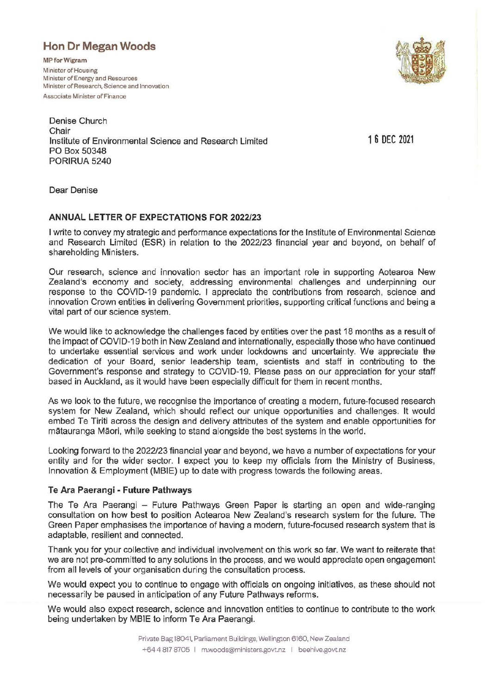# **Hon Dr Megan Woods**

**MPforWigram**  Minister of Housing Minister of Energy and Resources Minister of Research, Science and Innovation Associate Minister of Finance



Denise Church Chair Institute of Environmental Science and Research Limited **1 6 DEC 2021**  PO Box 50348 PORIRUA 5240

Dear Denise

#### **ANNUAL LETTER OF EXPECTATIONS FOR 2022/23**

I write to convey my strategic and performance expectations for the Institute of Environmental Science and Research Limited (ESR) in relation to the 2022/23 financial year and beyond, on behalf of shareholding Ministers.

Our research, science and innovation sector has an important role in supporting Aotearoa New Zealand's economy and society, addressing environmental challenges and underpinning our response to the COVID-19 pandemic. I appreciate the contributions from research, science and innovation Crown entities in delivering Government priorities, supporting critical functions and being a vital part of our science system.

We would like to acknowledge the challenges faced by entities over the past 18 months as a result of the impact of COVID-19 both in New Zealand and internationally, especially those who have continued to undertake essential services and work under lockdowns and uncertainty. We appreciate the dedication of your Board, senior leadership team, scientists and staff in contributing to the Government's response and strategy to COVID-19. Please pass on our appreciation for your staff based in Auckland, as it would have been especially difficult for them in recent months.

As we look to the future, we recognise the importance of creating a modern, future-focused research system for New Zealand, which should reflect our unique opportunities and challenges. It would embed Te Tiriti across the design and delivery attributes of the system and enable opportunities for matauranga Maori, while seeking to stand alongside the best systems in the world.

Looking forward to the 2022/23 financial year and beyond, we have a number of expectations for your entity and for the wider sector. I expect you to keep my officials from the Ministry of Business, Innovation & Employment (MBIE) up to date with progress towards the following areas.

#### **Te Ara Paerangi - Future Pathways**

The Te Ara Paerangi – Future Pathways Green Paper is starting an open and wide-ranging consultation on how best to position Aotearoa New Zealand's research system for the future. The Green Paper emphasises the importance of having a modern, future-focused research system that is adaptable, resilient and connected.

Thank you for your collective and individual involvement on this work so far. We want to reiterate that we are not pre-committed to any solutions in the process, and we would appreciate open engagement from all levels of your organisation during the consultation process.

We would expect you to continue to engage with officials on ongoing initiatives, as these should not necessarily be paused in anticipation of any Future Pathways reforms.

We would also expect research, science and innovation entities to continue to contribute to the work being undertaken by MBlE to inform Te Ara Paerangi.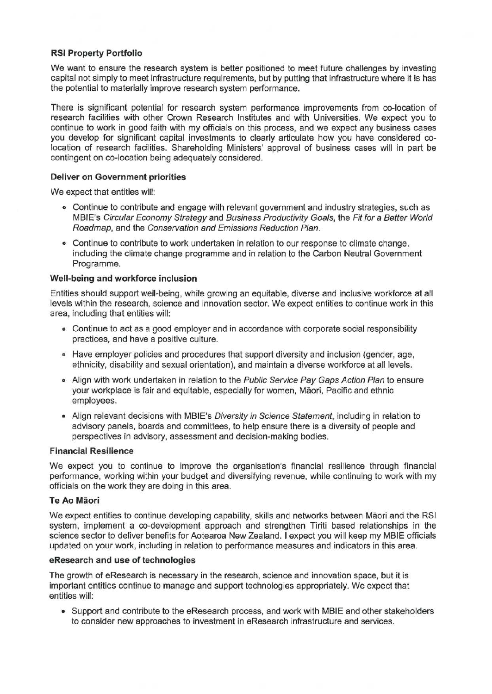#### **RSI Property Portfolio**

We want to ensure the research system is better positioned to meet future challenges by investing capital not simply to meet infrastructure requirements, but by putting that infrastructure where it is has the potential to materially improve research system performance.

There is significant potential for research system performance improvements from co-location of research facilities with other Crown Research Institutes and with Universities. We expect you to continue to work in good faith with my officials on this process, and we expect any business cases you develop for significant capital investments to clearly articulate how you have considered colocation of research facilities. Shareholding Ministers' approval of business cases will in part be contingent on co-location being adequately considered.

### **Deliver on Government priorities**

We expect that entities will:

- **<sup>o</sup>**Continue to contribute and engage with relevant government and industry strategies, such as MBIE's Circular Economy Strategy and Business Productivity Goals, the Fit for a Better World Roadmap, and the Conservation and Emissions Reduction Plan.
- **•** Continue to contribute to work undertaken in relation to our response to climate change, including the climate change programme and in relation to the Carbon Neutral Government Programme.

### **Well-being and workforce inclusion**

Entities should support well-being, while growing an equitable, diverse and inclusive workforce at all levels within the research, science and innovation sector. We expect entities to continue work in this area, including that entities will:

- **<sup>o</sup>**Continue to act as a good employer and in accordance with corporate social responsibility practices, and have a positive culture.
- Have employer policies and procedures that support diversity and inclusion (gender, age, ethnicity, disability and sexual orientation), and maintain a diverse workforce at all levels.
- **<sup>o</sup>**Align with work undertaken in relation to the Public Service Pay Gaps Action Plan to ensure your workplace is fair and equitable, especially for women, Maori, Pacific and ethnic employees.
- Align relevant decisions with MBIE's Diversity in Science Statement, including in relation to advisory panels, boards and committees, to help ensure there is a diversity of people and perspectives in advisory, assessment and decision-making bodies.

#### **Financial Resilience**

We expect you to continue to improve the organisation's financial resilience through financial performance, working within your budget and diversifying revenue, while continuing to work with my officials on the work they are doing in this area.

#### **Te Ao Maori**

We expect entities to continue developing capability, skills and networks between Maori and the RSI system, implement a co-development approach and strengthen Tiriti based relationships in the science sector to deliver benefits for Aotearoa New Zealand. I expect you will keep my MBIE officials updated on your work, including in relation to performance measures and indicators in this area.

#### **eResearch and use of technologies**

The growth of eResearch is necessary in the research, science and innovation space, but it is important entities continue to manage and support technologies appropriately. We expect that entities will:

• Support and contribute to the eResearch process, and work with MBIE and other stakeholders to consider new approaches to investment in eResearch infrastructure and services.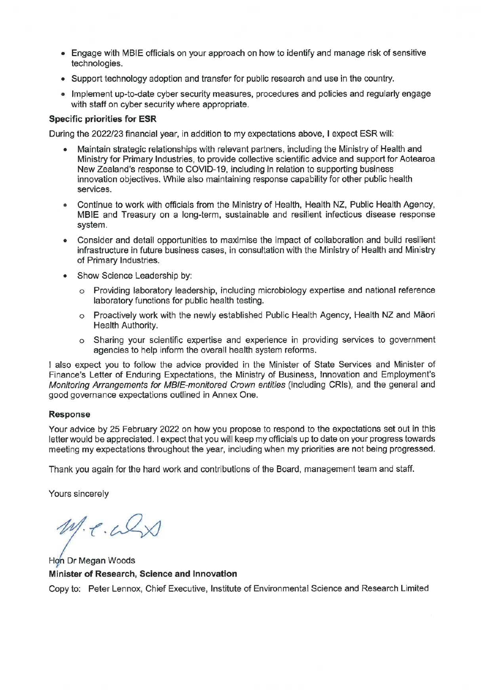- Engage with MBIE officials on your approach on how to identify and manage risk of sensitive technologies.
- Support technology adoption and transfer for public research and use in the country.
- Implement up-to-date cyber security measures, procedures and policies and regularly engage with staff on cyber security where appropriate.

#### **Specific priorities for ESR**

During the 2022/23 financial year, in addition to my expectations above, I expect ESR will:

- Maintain strategic relationships with relevant partners, including the Ministry of Health and Ministry for Primary Industries, to provide collective scientific advice and support for Aotearoa New Zealand's response to COVID-19, including in relation to supporting business innovation objectives. While also maintaining response capability for other public health services.
- Continue to work with officials from the Ministry of Health, Health NZ, Public Health Agency, MBIE and Treasury on a long-term, sustainable and resilient infectious disease response system.
- Consider and detail opportunities to maximise the impact of collaboration and build resilient infrastructure in future business cases, in consultation with the Ministry of Health and Ministry of Primary Industries.
- Show Science Leadership by:
	- o Providing laboratory leadership, including microbiology expertise and national reference laboratory functions for public health testing.
	- o Proactively work with the newly established Public Health Agency, Health NZ and Maori Health Authority.
	- o Sharing your scientific expertise and experience in providing services to government agencies to help inform the overall health system reforms.

I also expect you to follow the advice provided in the Minister of State Services and Minister of Finance's Letter of Enduring Expectations, the Ministry of Business, Innovation and Employment's Monitoring Arrangements for MBIE-monitored Crown entities (including CRls), and the general and good governance expectations outlined in Annex One.

#### **Response**

Your advice by 25 February 2022 on how you propose to respond *to* the expectations set out in this letter would be appreciated. I expect that you will keep my officials up to date on your progress towards meeting my expectations throughout the year, including when my priorities are not being progressed.

Thank you again for the hard work and contributions of the Board, management team and staff.

Yours sincerely

 $M.$ e. $\mathcal{L}\times$ 

Hon Dr Megan Woods **Minister of Research, Science and Innovation** 

Copy to: Peter Lennox, Chief Executive, Institute of Environmental Science and Research Limited